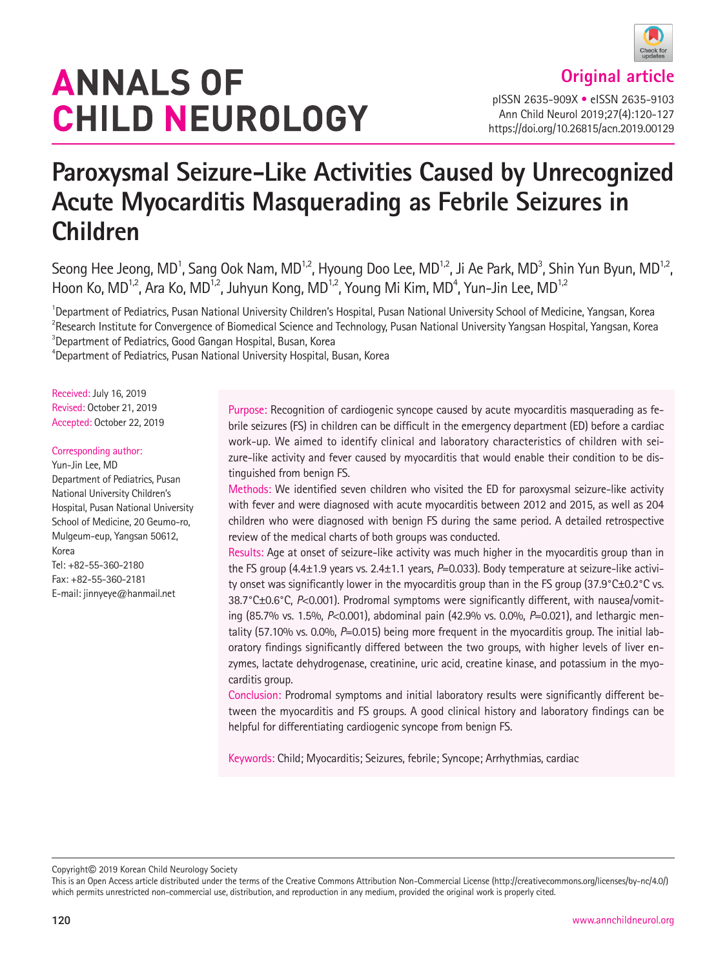# **ANNALS OF CHILD NEUROLOGY**

**Original article**

pISSN 2635-909X • eISSN 2635-9103 Ann Child Neurol 2019;27(4):120-127 https://doi.org/10.26815/acn.2019.00129

# **Paroxysmal Seizure-Like Activities Caused by Unrecognized Acute Myocarditis Masquerading as Febrile Seizures in Children**

Seong Hee Jeong, MD<sup>1</sup>, Sang Ook Nam, MD<sup>1,2</sup>, Hyoung Doo Lee, MD<sup>1,2</sup>, Ji Ae Park, MD<sup>3</sup>, Shin Yun Byun, MD<sup>1,2</sup>, Hoon Ko, MD<sup>1,2</sup>, Ara Ko, MD<sup>1,2</sup>, Juhyun Kong, MD<sup>1,2</sup>, Young Mi Kim, MD<sup>4</sup>, Yun-Jin Lee, MD<sup>1,2</sup>

<sup>1</sup>Department of Pediatrics, Pusan National University Children's Hospital, Pusan National University School of Medicine, Yangsan, Korea  $^2$ Research Institute for Convergence of Biomedical Science and Technology, Pusan National University Yangsan Hospital, Yangsan, Korea  $3$ Department of Pediatrics, Good Gangan Hospital, Busan, Korea

4 Department of Pediatrics, Pusan National University Hospital, Busan, Korea

Received: July 16, 2019 Revised: October 21, 2019 Accepted: October 22, 2019

#### Corresponding author:

Yun-Jin Lee, MD Department of Pediatrics, Pusan National University Children's Hospital, Pusan National University School of Medicine, 20 Geumo-ro, Mulgeum-eup, Yangsan 50612, Korea Tel: +82-55-360-2180 Fax: +82-55-360-2181 E-mail: jinnyeye@hanmail.net

Purpose: Recognition of cardiogenic syncope caused by acute myocarditis masquerading as febrile seizures (FS) in children can be difficult in the emergency department (ED) before a cardiac work-up. We aimed to identify clinical and laboratory characteristics of children with seizure-like activity and fever caused by myocarditis that would enable their condition to be distinguished from benign FS.

Methods: We identified seven children who visited the ED for paroxysmal seizure-like activity with fever and were diagnosed with acute myocarditis between 2012 and 2015, as well as 204 children who were diagnosed with benign FS during the same period. A detailed retrospective review of the medical charts of both groups was conducted.

Results: Age at onset of seizure-like activity was much higher in the myocarditis group than in the FS group (4.4±1.9 years vs. 2.4±1.1 years, P=0.033). Body temperature at seizure-like activity onset was significantly lower in the myocarditis group than in the FS group (37.9°C±0.2°C vs. 38.7°C±0.6°C, *P*<0.001). Prodromal symptoms were significantly different, with nausea/vomiting (85.7% vs. 1.5%, *P*<0.001), abdominal pain (42.9% vs. 0.0%, *P*=0.021), and lethargic mentality (57.10% vs. 0.0%, *P*=0.015) being more frequent in the myocarditis group. The initial laboratory findings significantly differed between the two groups, with higher levels of liver enzymes, lactate dehydrogenase, creatinine, uric acid, creatine kinase, and potassium in the myocarditis group.

Conclusion: Prodromal symptoms and initial laboratory results were significantly different between the myocarditis and FS groups. A good clinical history and laboratory findings can be helpful for differentiating cardiogenic syncope from benign FS.

Keywords: Child; Myocarditis; Seizures, febrile; Syncope; Arrhythmias, cardiac

Copyright© 2019 Korean Child Neurology Society

This is an Open Access article distributed under the terms of the Creative Commons Attribution Non-Commercial License (http://creativecommons.org/licenses/by-nc/4.0/) which permits unrestricted non-commercial use, distribution, and reproduction in any medium, provided the original work is properly cited.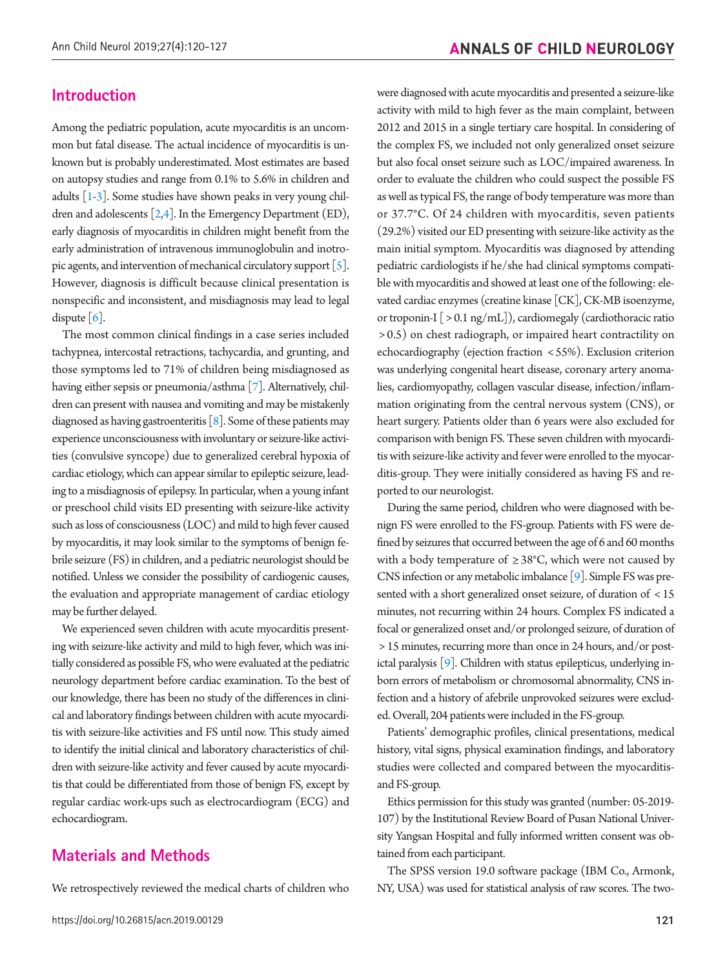#### **Introduction**

Among the pediatric population, acute myocarditis is an uncommon but fatal disease. The actual incidence of myocarditis is unknown but is probably underestimated. Most estimates are based on autopsy studies and range from 0.1% to 5.6% in children and adults  $[1-3]$  $[1-3]$ . Some studies have shown peaks in very young children and adolescents [\[2,](#page-7-2)[4\]](#page-7-3). In the Emergency Department (ED), early diagnosis of myocarditis in children might benefit from the early administration of intravenous immunoglobulin and inotropic agents, and intervention of mechanical circulatory support  $\lceil 5 \rceil$ . However, diagnosis is difficult because clinical presentation is nonspecific and inconsistent, and misdiagnosis may lead to legal dispute  $[6]$ .

The most common clinical findings in a case series included tachypnea, intercostal retractions, tachycardia, and grunting, and those symptoms led to 71% of children being misdiagnosed as having either sepsis or pneumonia/asthma [\[7\]](#page-7-6). Alternatively, children can present with nausea and vomiting and may be mistakenly diagnosed as having gastroenteritis  $\lceil 8 \rceil$ . Some of these patients may experience unconsciousness with involuntary or seizure-like activities (convulsive syncope) due to generalized cerebral hypoxia of cardiac etiology, which can appear similar to epileptic seizure, leading to a misdiagnosis of epilepsy. In particular, when a young infant or preschool child visits ED presenting with seizure-like activity such as loss of consciousness (LOC) and mild to high fever caused by myocarditis, it may look similar to the symptoms of benign febrile seizure (FS) in children, and a pediatric neurologist should be notified. Unless we consider the possibility of cardiogenic causes, the evaluation and appropriate management of cardiac etiology may be further delayed.

We experienced seven children with acute myocarditis presenting with seizure-like activity and mild to high fever, which was initially considered as possible FS, who were evaluated at the pediatric neurology department before cardiac examination. To the best of our knowledge, there has been no study of the differences in clinical and laboratory findings between children with acute myocarditis with seizure-like activities and FS until now. This study aimed to identify the initial clinical and laboratory characteristics of children with seizure-like activity and fever caused by acute myocarditis that could be differentiated from those of benign FS, except by regular cardiac work-ups such as electrocardiogram (ECG) and echocardiogram.

## **Materials and Methods**

We retrospectively reviewed the medical charts of children who

were diagnosed with acute myocarditis and presented a seizure-like activity with mild to high fever as the main complaint, between 2012 and 2015 in a single tertiary care hospital. In considering of the complex FS, we included not only generalized onset seizure but also focal onset seizure such as LOC/impaired awareness. In order to evaluate the children who could suspect the possible FS as well as typical FS, the range of body temperature was more than or 37.7°C. Of 24 children with myocarditis, seven patients (29.2%) visited our ED presenting with seizure-like activity as the main initial symptom. Myocarditis was diagnosed by attending pediatric cardiologists if he/she had clinical symptoms compatible with myocarditis and showed at least one of the following: elevated cardiac enzymes (creatine kinase [CK], CK-MB isoenzyme, or troponin-I [ > 0.1 ng/mL]), cardiomegaly (cardiothoracic ratio > 0.5) on chest radiograph, or impaired heart contractility on echocardiography (ejection fraction < 55%). Exclusion criterion was underlying congenital heart disease, coronary artery anomalies, cardiomyopathy, collagen vascular disease, infection/inflammation originating from the central nervous system (CNS), or heart surgery. Patients older than 6 years were also excluded for comparison with benign FS. These seven children with myocarditis with seizure-like activity and fever were enrolled to the myocarditis-group. They were initially considered as having FS and reported to our neurologist.

During the same period, children who were diagnosed with benign FS were enrolled to the FS-group. Patients with FS were defined by seizures that occurred between the age of 6 and 60 months with a body temperature of  $\geq 38^{\circ}$ C, which were not caused by CNS infection or any metabolic imbalance [\[9](#page-7-4)]. Simple FS was presented with a short generalized onset seizure, of duration of < 15 minutes, not recurring within 24 hours. Complex FS indicated a focal or generalized onset and/or prolonged seizure, of duration of > 15 minutes, recurring more than once in 24 hours, and/or postictal paralysis [9]. Children with status epilepticus, underlying inborn errors of metabolism or chromosomal abnormality, CNS infection and a history of afebrile unprovoked seizures were excluded. Overall, 204 patients were included in the FS-group.

Patients' demographic profiles, clinical presentations, medical history, vital signs, physical examination findings, and laboratory studies were collected and compared between the myocarditisand FS-group.

Ethics permission for this study was granted (number: 05-2019- 107) by the Institutional Review Board of Pusan National University Yangsan Hospital and fully informed written consent was obtained from each participant.

The SPSS version 19.0 software package (IBM Co., Armonk, NY, USA) was used for statistical analysis of raw scores. The two-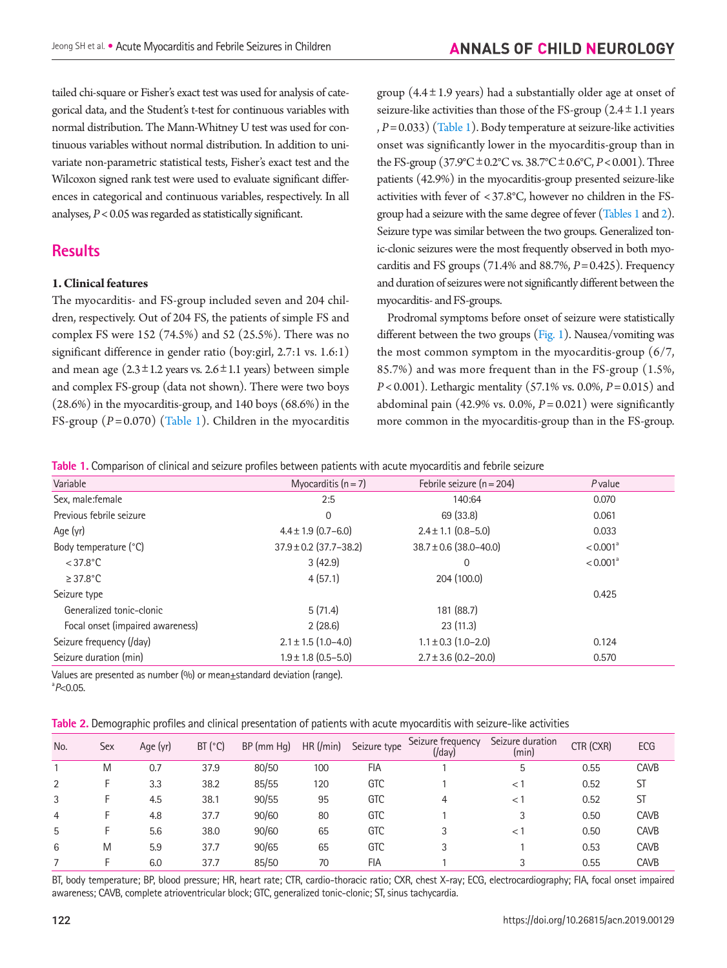tailed chi-square or Fisher's exact test was used for analysis of categorical data, and the Student's t-test for continuous variables with normal distribution. The Mann-Whitney U test was used for continuous variables without normal distribution. In addition to univariate non-parametric statistical tests, Fisher's exact test and the Wilcoxon signed rank test were used to evaluate significant differences in categorical and continuous variables, respectively. In all analyses, *P*< 0.05 was regarded as statistically significant.

# **Results**

#### **1. Clinical features**

The myocarditis- and FS-group included seven and 204 children, respectively. Out of 204 FS, the patients of simple FS and complex FS were 152 (74.5%) and 52 (25.5%). There was no significant difference in gender ratio (boy:girl, 2.7:1 vs. 1.6:1) and mean age  $(2.3 \pm 1.2 \text{ years} \text{ vs. } 2.6 \pm 1.1 \text{ years})$  between simple and complex FS-group (data not shown). There were two boys (28.6%) in the myocarditis-group, and 140 boys (68.6%) in the FS-group (*P*= 0.070) [\(Table 1](#page-2-0)). Children in the myocarditis group  $(4.4 \pm 1.9 \text{ years})$  had a substantially older age at onset of seizure-like activities than those of the FS-group  $(2.4 \pm 1.1)$  years , *P*= 0.033) [\(Table 1](#page-2-0)). Body temperature at seizure-like activities onset was significantly lower in the myocarditis-group than in the FS-group (37.9°C±0.2°C vs. 38.7°C±0.6°C, *P*< 0.001). Three patients (42.9%) in the myocarditis-group presented seizure-like activities with fever of < 37.8°C, however no children in the FSgroup had a seizure with the same degree of fever [\(Tables 1](#page-2-0) and [2\)](#page-2-1). Seizure type was similar between the two groups. Generalized tonic-clonic seizures were the most frequently observed in both myocarditis and FS groups (71.4% and 88.7%, *P*= 0.425). Frequency and duration of seizures were not significantly different between the myocarditis- and FS-groups.

Prodromal symptoms before onset of seizure were statistically different between the two groups [\(Fig. 1](#page-3-0)). Nausea/vomiting was the most common symptom in the myocarditis-group (6/7, 85.7%) and was more frequent than in the FS-group (1.5%, *P*< 0.001). Lethargic mentality (57.1% vs. 0.0%, *P*= 0.015) and abdominal pain (42.9% vs. 0.0%, *P*= 0.021) were significantly more common in the myocarditis-group than in the FS-group.

<span id="page-2-0"></span>**Table 1.** Comparison of clinical and seizure profiles between patients with acute myocarditis and febrile seizure

| Variable                         | Myocarditis $(n=7)$        | Febrile seizure $(n = 204)$ | Pvalue               |
|----------------------------------|----------------------------|-----------------------------|----------------------|
| Sex, male: female                | 2:5                        | 140:64                      | 0.070                |
| Previous febrile seizure         | $\mathbf 0$                | 69 (33.8)                   | 0.061                |
| Age (yr)                         | $4.4 \pm 1.9$ (0.7-6.0)    | $2.4 \pm 1.1$ (0.8-5.0)     | 0.033                |
| Body temperature (°C)            | $37.9 \pm 0.2$ (37.7-38.2) | $38.7 \pm 0.6$ (38.0-40.0)  | < 0.001 <sup>a</sup> |
| $<$ 37.8 $^{\circ}$ C            | 3(42.9)                    | 0                           | < 0.001 <sup>a</sup> |
| $\geq$ 37.8°C                    | 4(57.1)                    | 204 (100.0)                 |                      |
| Seizure type                     |                            |                             | 0.425                |
| Generalized tonic-clonic         | 5(71.4)                    | 181 (88.7)                  |                      |
| Focal onset (impaired awareness) | 2(28.6)                    | 23(11.3)                    |                      |
| Seizure frequency (/day)         | $2.1 \pm 1.5$ (1.0–4.0)    | $1.1 \pm 0.3$ (1.0-2.0)     | 0.124                |
| Seizure duration (min)           | $1.9 \pm 1.8$ (0.5-5.0)    | $2.7 \pm 3.6$ (0.2-20.0)    | 0.570                |

Values are presented as number (%) or mean±standard deviation (range). a *P*<0.05.

<span id="page-2-1"></span>

| Table 2. Demographic profiles and clinical presentation of patients with acute myocarditis with seizure-like activities |  |  |
|-------------------------------------------------------------------------------------------------------------------------|--|--|
|                                                                                                                         |  |  |

| No. | Sex | Age (yr) | BT (°C) | BP (mm Hg) | HR (/min) | Seizure type | Seizure frequency<br>$($ /day $)$ | Seizure duration<br>(min) | CTR (CXR) | ECG         |
|-----|-----|----------|---------|------------|-----------|--------------|-----------------------------------|---------------------------|-----------|-------------|
|     | M   | 0.7      | 37.9    | 80/50      | 100       | <b>FIA</b>   |                                   | 5                         | 0.55      | <b>CAVB</b> |
|     |     | 3.3      | 38.2    | 85/55      | 120       | GTC          |                                   | $\lt$ 1                   | 0.52      | ST          |
| 3   |     | 4.5      | 38.1    | 90/55      | 95        | <b>GTC</b>   |                                   | $\leq$ 1                  | 0.52      | ST          |
| 4   |     | 4.8      | 37.7    | 90/60      | 80        | <b>GTC</b>   |                                   |                           | 0.50      | <b>CAVB</b> |
| 5   | н.  | 5.6      | 38.0    | 90/60      | 65        | GTC          |                                   | $\lt$                     | 0.50      | <b>CAVB</b> |
| 6   | M   | 5.9      | 37.7    | 90/65      | 65        | <b>GTC</b>   |                                   |                           | 0.53      | <b>CAVB</b> |
|     |     | 6.0      | 37.7    | 85/50      | 70        | <b>FIA</b>   |                                   |                           | 0.55      | <b>CAVB</b> |

BT, body temperature; BP, blood pressure; HR, heart rate; CTR, cardio-thoracic ratio; CXR, chest X-ray; ECG, electrocardiography; FIA, focal onset impaired awareness; CAVB, complete atrioventricular block; GTC, generalized tonic-clonic; ST, sinus tachycardia.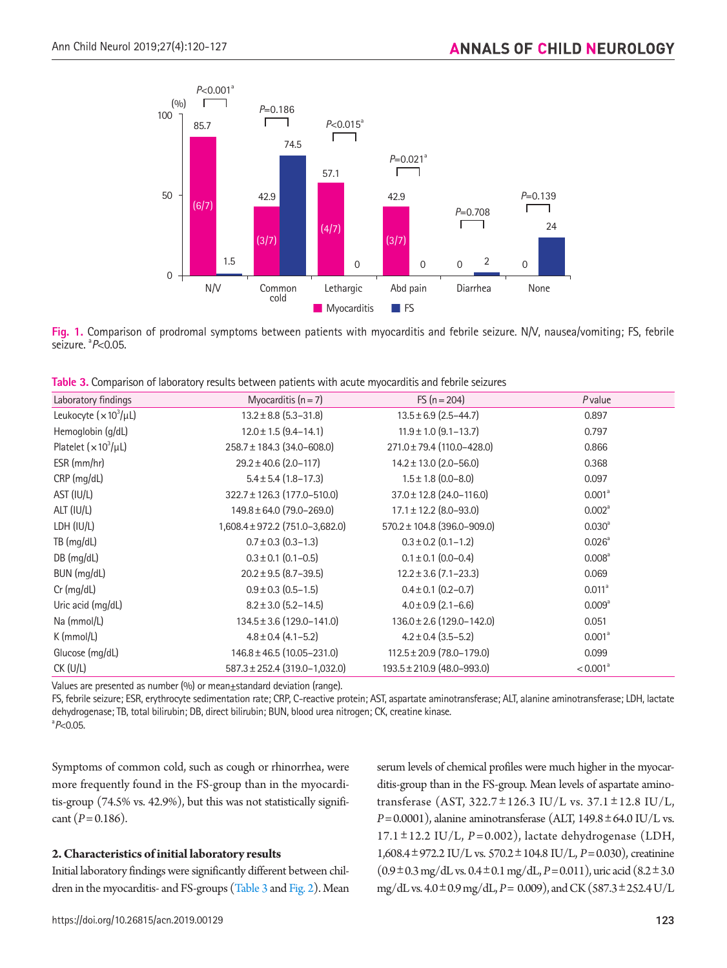<span id="page-3-0"></span>

**Fig. 1.** Comparison of prodromal symptoms between patients with myocarditis and febrile seizure. N/V, nausea/vomiting; FS, febrile seizure. a *P*<0.05.

<span id="page-3-1"></span>

| <b>Table 3.</b> Comparison of laboratory results between patients with acute myocarditis and febrile seizures |  |  |
|---------------------------------------------------------------------------------------------------------------|--|--|
|                                                                                                               |  |  |

| Laboratory findings        | Myocarditis $(n = 7)$             | FS $(n = 204)$                  | Pvalue               |
|----------------------------|-----------------------------------|---------------------------------|----------------------|
| Leukocyte $(x 10^3/\mu L)$ | $13.2 \pm 8.8$ (5.3-31.8)         | $13.5 \pm 6.9$ (2.5-44.7)       | 0.897                |
| Hemoglobin (g/dL)          | $12.0 \pm 1.5$ (9.4-14.1)         | $11.9 \pm 1.0$ (9.1-13.7)       | 0.797                |
| Platelet $(x 10^3/\mu L)$  | 258.7 ± 184.3 (34.0-608.0)        | 271.0 ± 79.4 (110.0-428.0)      | 0.866                |
| ESR (mm/hr)                | $29.2 \pm 40.6$ (2.0-117)         | $14.2 \pm 13.0$ (2.0-56.0)      | 0.368                |
| CRP (mg/dL)                | $5.4 \pm 5.4$ (1.8-17.3)          | $1.5 \pm 1.8$ (0.0-8.0)         | 0.097                |
| AST (IU/L)                 | $322.7 \pm 126.3$ (177.0-510.0)   | $37.0 \pm 12.8$ (24.0-116.0)    | 0.001 <sup>a</sup>   |
| ALT (IU/L)                 | $149.8 \pm 64.0$ (79.0-269.0)     | $17.1 \pm 12.2$ (8.0-93.0)      | 0.002 <sup>a</sup>   |
| LDH (IU/L)                 | 1,608.4 ± 972.2 (751.0-3,682.0)   | $570.2 \pm 104.8$ (396.0-909.0) | $0.030^{\circ}$      |
| TB (mg/dL)                 | $0.7 \pm 0.3$ (0.3-1.3)           | $0.3 \pm 0.2$ (0.1-1.2)         | $0.026^{\circ}$      |
| $DB$ (mg/dL)               | $0.3 \pm 0.1$ (0.1-0.5)           | $0.1 \pm 0.1$ (0.0-0.4)         | 0.008 <sup>a</sup>   |
| BUN (mg/dL)                | $20.2 \pm 9.5$ (8.7-39.5)         | $12.2 \pm 3.6$ (7.1-23.3)       | 0.069                |
| $Cr$ (mg/dL)               | $0.9 \pm 0.3$ (0.5-1.5)           | $0.4 \pm 0.1$ (0.2-0.7)         | 0.011 <sup>a</sup>   |
| Uric acid (mg/dL)          | $8.2 \pm 3.0$ (5.2-14.5)          | $4.0 \pm 0.9$ (2.1-6.6)         | 0.009 <sup>a</sup>   |
| Na (mmol/L)                | $134.5 \pm 3.6$ (129.0-141.0)     | $136.0 \pm 2.6$ (129.0-142.0)   | 0.051                |
| $K$ (mmol/L)               | $4.8 \pm 0.4$ (4.1-5.2)           | $4.2 \pm 0.4$ (3.5-5.2)         | 0.001 <sup>a</sup>   |
| Glucose (mg/dL)            | $146.8 \pm 46.5$ (10.05-231.0)    | $112.5 \pm 20.9$ (78.0-179.0)   | 0.099                |
| $CK$ (U/L)                 | $587.3 \pm 252.4$ (319.0-1,032.0) | $193.5 \pm 210.9$ (48.0-993.0)  | < 0.001 <sup>a</sup> |

Values are presented as number (%) or mean±standard deviation (range).

FS, febrile seizure; ESR, erythrocyte sedimentation rate; CRP, C-reactive protein; AST, aspartate aminotransferase; ALT, alanine aminotransferase; LDH, lactate dehydrogenase; TB, total bilirubin; DB, direct bilirubin; BUN, blood urea nitrogen; CK, creatine kinase. a *P*<0.05.

Symptoms of common cold, such as cough or rhinorrhea, were more frequently found in the FS-group than in the myocarditis-group (74.5% vs. 42.9%), but this was not statistically significant  $(P = 0.186)$ .

#### **2. Characteristics of initial laboratory results**

Initial laboratory findings were significantly different between children in the myocarditis- and FS-groups [\(Table 3](#page-3-1) and [Fig. 2\)](#page-4-0). Mean

https://doi.org/10.26815/acn.2019.00129 123

serum levels of chemical profiles were much higher in the myocarditis-group than in the FS-group. Mean levels of aspartate aminotransferase (AST,  $322.7 \pm 126.3$  IU/L vs.  $37.1 \pm 12.8$  IU/L,  $P=0.0001$ ), alanine aminotransferase (ALT,  $149.8 \pm 64.0$  IU/L vs. 17.1 ±12.2 IU/L, *P* = 0.002), lactate dehydrogenase (LDH, 1,608.4±972.2 IU/L vs. 570.2±104.8 IU/L, *P*=0.030), creatinine  $(0.9\pm0.3 \text{ mg/dL vs. } 0.4\pm0.1 \text{ mg/dL}, P=0.011)$ , uric acid  $(8.2\pm3.0 \text{ g/m})$ mg/dL vs. 4.0±0.9 mg/dL, *P*= 0.009), and CK (587.3±252.4 U/L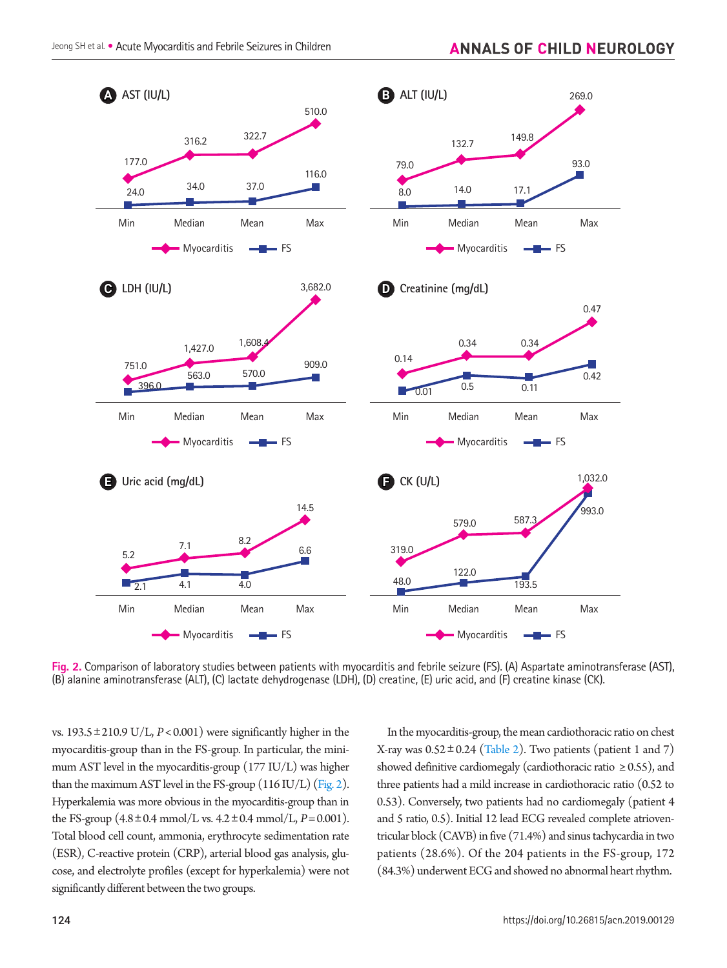<span id="page-4-0"></span>

**Fig. 2.** Comparison of laboratory studies between patients with myocarditis and febrile seizure (FS). (A) Aspartate aminotransferase (AST), (B) alanine aminotransferase (ALT), (C) lactate dehydrogenase (LDH), (D) creatine, (E) uric acid, and (F) creatine kinase (CK).

vs.  $193.5 \pm 210.9 \text{ U/L}, P < 0.001$ ) were significantly higher in the myocarditis-group than in the FS-group. In particular, the minimum AST level in the myocarditis-group (177 IU/L) was higher than the maximum AST level in the FS-group (116 IU/L) (Fig. 2). Hyperkalemia was more obvious in the myocarditis-group than in the FS-group  $(4.8 \pm 0.4 \text{ mmol/L vs. } 4.2 \pm 0.4 \text{ mmol/L}, P = 0.001)$ . Total blood cell count, ammonia, erythrocyte sedimentation rate (ESR), C-reactive protein (CRP), arterial blood gas analysis, glucose, and electrolyte profiles (except for hyperkalemia) were not significantly different between the two groups.

In the myocarditis-group, the mean cardiothoracic ratio on chest X-ray was  $0.52 \pm 0.24$  (Table 2). Two patients (patient 1 and 7) showed definitive cardiomegaly (cardiothoracic ratio  $\geq$  0.55), and three patients had a mild increase in cardiothoracic ratio (0.52 to 0.53). Conversely, two patients had no cardiomegaly (patient 4 and 5 ratio, 0.5). Initial 12 lead ECG revealed complete atrioventricular block (CAVB) in five (71.4%) and sinus tachycardia in two patients (28.6%). Of the 204 patients in the FS-group, 172 (84.3%) underwent ECG and showed no abnormal heart rhythm.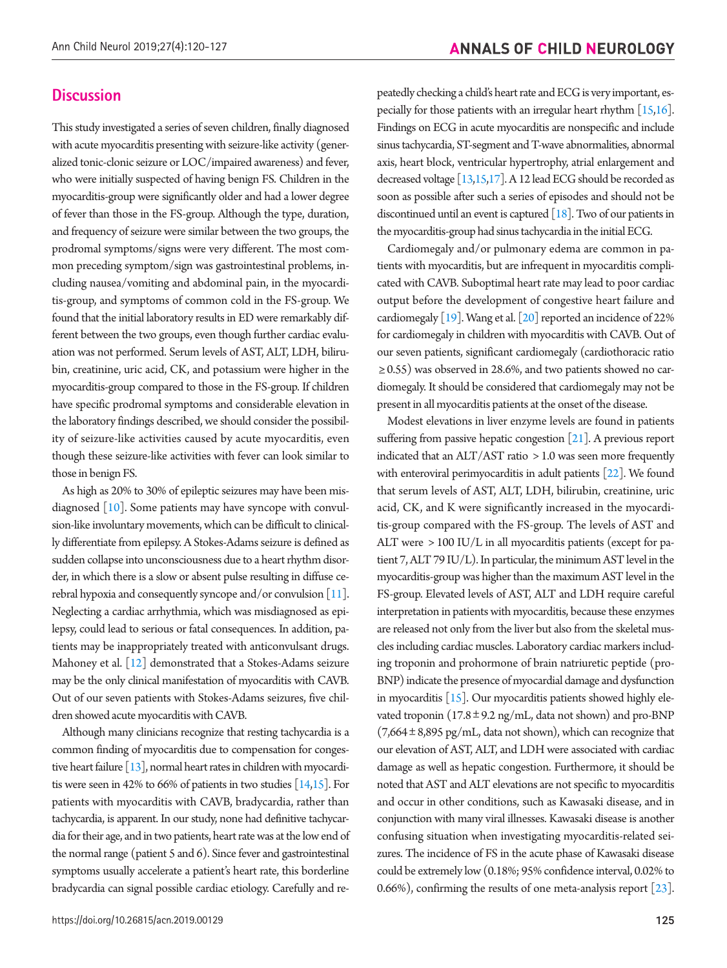#### **Discussion**

This study investigated a series of seven children, finally diagnosed with acute myocarditis presenting with seizure-like activity (generalized tonic-clonic seizure or LOC/impaired awareness) and fever, who were initially suspected of having benign FS. Children in the myocarditis-group were significantly older and had a lower degree of fever than those in the FS-group. Although the type, duration, and frequency of seizure were similar between the two groups, the prodromal symptoms/signs were very different. The most common preceding symptom/sign was gastrointestinal problems, including nausea/vomiting and abdominal pain, in the myocarditis-group, and symptoms of common cold in the FS-group. We found that the initial laboratory results in ED were remarkably different between the two groups, even though further cardiac evaluation was not performed. Serum levels of AST, ALT, LDH, bilirubin, creatinine, uric acid, CK, and potassium were higher in the myocarditis-group compared to those in the FS-group. If children have specific prodromal symptoms and considerable elevation in the laboratory findings described, we should consider the possibility of seizure-like activities caused by acute myocarditis, even though these seizure-like activities with fever can look similar to those in benign FS.

As high as 20% to 30% of epileptic seizures may have been misdiagnosed [\[10](#page-7-8)]. Some patients may have syncope with convulsion-like involuntary movements, which can be difficult to clinically differentiate from epilepsy. A Stokes-Adams seizure is defined as sudden collapse into unconsciousness due to a heart rhythm disorder, in which there is a slow or absent pulse resulting in diffuse cerebral hypoxia and consequently syncope and/or convulsion [\[11](#page-7-9)]. Neglecting a cardiac arrhythmia, which was misdiagnosed as epilepsy, could lead to serious or fatal consequences. In addition, patients may be inappropriately treated with anticonvulsant drugs. Mahoney et al. [\[12](#page-7-10)] demonstrated that a Stokes-Adams seizure may be the only clinical manifestation of myocarditis with CAVB. Out of our seven patients with Stokes-Adams seizures, five children showed acute myocarditis with CAVB.

Although many clinicians recognize that resting tachycardia is a common finding of myocarditis due to compensation for congestive heart failure [\[13](#page-7-8)], normal heart rates in children with myocarditis were seen in 42% to 66% of patients in two studies  $[14,15]$  $[14,15]$  $[14,15]$ . For patients with myocarditis with CAVB, bradycardia, rather than tachycardia, is apparent. In our study, none had definitive tachycardia for their age, and in two patients, heart rate was at the low end of the normal range (patient 5 and 6). Since fever and gastrointestinal symptoms usually accelerate a patient's heart rate, this borderline bradycardia can signal possible cardiac etiology. Carefully and repeatedly checking a child's heart rate and ECG is very important, especially for those patients with an irregular heart rhythm  $[15,16]$  $[15,16]$ . Findings on ECG in acute myocarditis are nonspecific and include sinus tachycardia, ST-segment and T-wave abnormalities, abnormal axis, heart block, ventricular hypertrophy, atrial enlargement and decreased voltage [\[13](#page-7-8)[,15](#page-7-9)[,17\]](#page-7-13). A 12 lead ECG should be recorded as soon as possible after such a series of episodes and should not be discontinued until an event is captured  $[18]$ . Two of our patients in the myocarditis-group had sinus tachycardia in the initial ECG.

Cardiomegaly and/or pulmonary edema are common in patients with myocarditis, but are infrequent in myocarditis complicated with CAVB. Suboptimal heart rate may lead to poor cardiac output before the development of congestive heart failure and cardiomegaly [[19](#page-7-15)]. Wang et al. [\[20\]](#page-7-16) reported an incidence of 22% for cardiomegaly in children with myocarditis with CAVB. Out of our seven patients, significant cardiomegaly (cardiothoracic ratio ≥ 0.55) was observed in 28.6%, and two patients showed no cardiomegaly. It should be considered that cardiomegaly may not be present in all myocarditis patients at the onset of the disease.

Modest elevations in liver enzyme levels are found in patients suffering from passive hepatic congestion [\[21](#page-7-17)]. A previous report indicated that an  $ALT/AST$  ratio  $> 1.0$  was seen more frequently with enteroviral perimyocarditis in adult patients [\[22](#page-7-18)]. We found that serum levels of AST, ALT, LDH, bilirubin, creatinine, uric acid, CK, and K were significantly increased in the myocarditis-group compared with the FS-group. The levels of AST and ALT were > 100 IU/L in all myocarditis patients (except for patient 7, ALT 79 IU/L). In particular, the minimum AST level in the myocarditis-group was higher than the maximum AST level in the FS-group. Elevated levels of AST, ALT and LDH require careful interpretation in patients with myocarditis, because these enzymes are released not only from the liver but also from the skeletal muscles including cardiac muscles. Laboratory cardiac markers including troponin and prohormone of brain natriuretic peptide (pro-BNP) indicate the presence of myocardial damage and dysfunction in myocarditis  $[15]$ . Our myocarditis patients showed highly elevated troponin  $(17.8 \pm 9.2 \text{ ng/mL})$ , data not shown) and pro-BNP  $(7,664 \pm 8,895 \text{ pg/mL}, \text{data not shown})$ , which can recognize that our elevation of AST, ALT, and LDH were associated with cardiac damage as well as hepatic congestion. Furthermore, it should be noted that AST and ALT elevations are not specific to myocarditis and occur in other conditions, such as Kawasaki disease, and in conjunction with many viral illnesses. Kawasaki disease is another confusing situation when investigating myocarditis-related seizures. The incidence of FS in the acute phase of Kawasaki disease could be extremely low (0.18%; 95% confidence interval, 0.02% to 0.66%), confirming the results of one meta-analysis report [\[23\]](#page-7-19).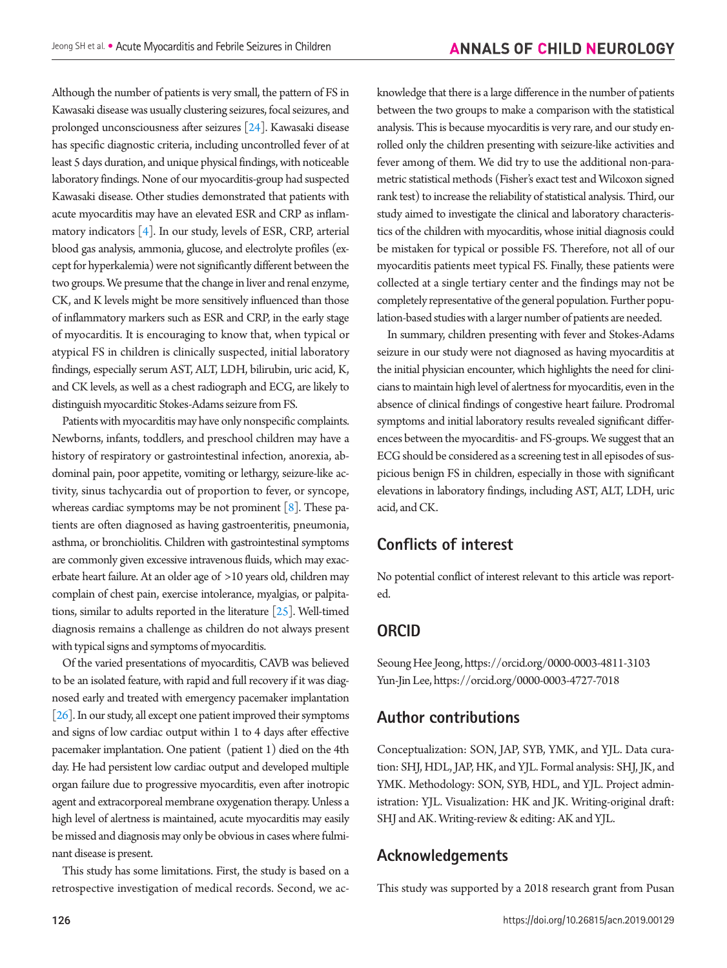Although the number of patients is very small, the pattern of FS in Kawasaki disease was usually clustering seizures, focal seizures, and prolonged unconsciousness after seizures [\[24](#page-7-20)]. Kawasaki disease has specific diagnostic criteria, including uncontrolled fever of at least 5 days duration, and unique physical findings, with noticeable laboratory findings. None of our myocarditis-group had suspected Kawasaki disease. Other studies demonstrated that patients with acute myocarditis may have an elevated ESR and CRP as inflammatory indicators [4]. In our study, levels of ESR, CRP, arterial blood gas analysis, ammonia, glucose, and electrolyte profiles (except for hyperkalemia) were not significantly different between the two groups. We presume that the change in liver and renal enzyme, CK, and K levels might be more sensitively influenced than those of inflammatory markers such as ESR and CRP, in the early stage of myocarditis. It is encouraging to know that, when typical or atypical FS in children is clinically suspected, initial laboratory findings, especially serum AST, ALT, LDH, bilirubin, uric acid, K, and CK levels, as well as a chest radiograph and ECG, are likely to distinguish myocarditic Stokes-Adams seizure from FS.

Patients with myocarditis may have only nonspecific complaints. Newborns, infants, toddlers, and preschool children may have a history of respiratory or gastrointestinal infection, anorexia, abdominal pain, poor appetite, vomiting or lethargy, seizure-like activity, sinus tachycardia out of proportion to fever, or syncope, whereas cardiac symptoms may be not prominent [8]. These patients are often diagnosed as having gastroenteritis, pneumonia, asthma, or bronchiolitis. Children with gastrointestinal symptoms are commonly given excessive intravenous fluids, which may exacerbate heart failure. At an older age of >10 years old, children may complain of chest pain, exercise intolerance, myalgias, or palpitations, similar to adults reported in the literature [\[25](#page-7-21)]. Well-timed diagnosis remains a challenge as children do not always present with typical signs and symptoms of myocarditis.

Of the varied presentations of myocarditis, CAVB was believed to be an isolated feature, with rapid and full recovery if it was diagnosed early and treated with emergency pacemaker implantation [\[26\]](#page-7-22). In our study, all except one patient improved their symptoms and signs of low cardiac output within 1 to 4 days after effective pacemaker implantation. One patient (patient 1) died on the 4th day. He had persistent low cardiac output and developed multiple organ failure due to progressive myocarditis, even after inotropic agent and extracorporeal membrane oxygenation therapy. Unless a high level of alertness is maintained, acute myocarditis may easily be missed and diagnosis may only be obvious in cases where fulminant disease is present.

This study has some limitations. First, the study is based on a retrospective investigation of medical records. Second, we acknowledge that there is a large difference in the number of patients between the two groups to make a comparison with the statistical analysis. This is because myocarditis is very rare, and our study enrolled only the children presenting with seizure-like activities and fever among of them. We did try to use the additional non-parametric statistical methods (Fisher's exact test and Wilcoxon signed rank test) to increase the reliability of statistical analysis. Third, our study aimed to investigate the clinical and laboratory characteristics of the children with myocarditis, whose initial diagnosis could be mistaken for typical or possible FS. Therefore, not all of our myocarditis patients meet typical FS. Finally, these patients were collected at a single tertiary center and the findings may not be completely representative of the general population. Further population-based studies with a larger number of patients are needed.

In summary, children presenting with fever and Stokes-Adams seizure in our study were not diagnosed as having myocarditis at the initial physician encounter, which highlights the need for clinicians to maintain high level of alertness for myocarditis, even in the absence of clinical findings of congestive heart failure. Prodromal symptoms and initial laboratory results revealed significant differences between the myocarditis- and FS-groups. We suggest that an ECG should be considered as a screening test in all episodes of suspicious benign FS in children, especially in those with significant elevations in laboratory findings, including AST, ALT, LDH, uric acid, and CK.

# **Conflicts of interest**

No potential conflict of interest relevant to this article was reported.

# **ORCID**

Seoung Hee Jeong, https://orcid.org/0000-0003-4811-3103 Yun-Jin Lee, https://orcid.org/0000-0003-4727-7018

# **Author contributions**

Conceptualization: SON, JAP, SYB, YMK, and YJL. Data curation: SHJ, HDL, JAP, HK, and YJL. Formal analysis: SHJ, JK, and YMK. Methodology: SON, SYB, HDL, and YJL. Project administration: YJL. Visualization: HK and JK. Writing-original draft: SHJ and AK. Writing-review & editing: AK and YJL.

## **Acknowledgements**

This study was supported by a 2018 research grant from Pusan